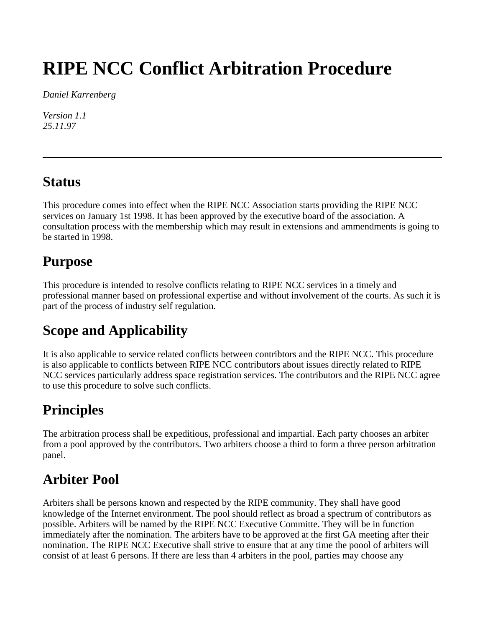# **RIPE NCC Conflict Arbitration Procedure**

*Daniel Karrenberg* 

*Version 1.1 25.11.97* 

## **Status**

This procedure comes into effect when the RIPE NCC Association starts providing the RIPE NCC services on January 1st 1998. It has been approved by the executive board of the association. A consultation process with the membership which may result in extensions and ammendments is going to be started in 1998.

## **Purpose**

This procedure is intended to resolve conflicts relating to RIPE NCC services in a timely and professional manner based on professional expertise and without involvement of the courts. As such it is part of the process of industry self regulation.

## **Scope and Applicability**

It is also applicable to service related conflicts between contribtors and the RIPE NCC. This procedure is also applicable to conflicts between RIPE NCC contributors about issues directly related to RIPE NCC services particularly address space registration services. The contributors and the RIPE NCC agree to use this procedure to solve such conflicts.

## **Principles**

The arbitration process shall be expeditious, professional and impartial. Each party chooses an arbiter from a pool approved by the contributors. Two arbiters choose a third to form a three person arbitration panel.

## **Arbiter Pool**

Arbiters shall be persons known and respected by the RIPE community. They shall have good knowledge of the Internet environment. The pool should reflect as broad a spectrum of contributors as possible. Arbiters will be named by the RIPE NCC Executive Committe. They will be in function immediately after the nomination. The arbiters have to be approved at the first GA meeting after their nomination. The RIPE NCC Executive shall strive to ensure that at any time the poool of arbiters will consist of at least 6 persons. If there are less than 4 arbiters in the pool, parties may choose any